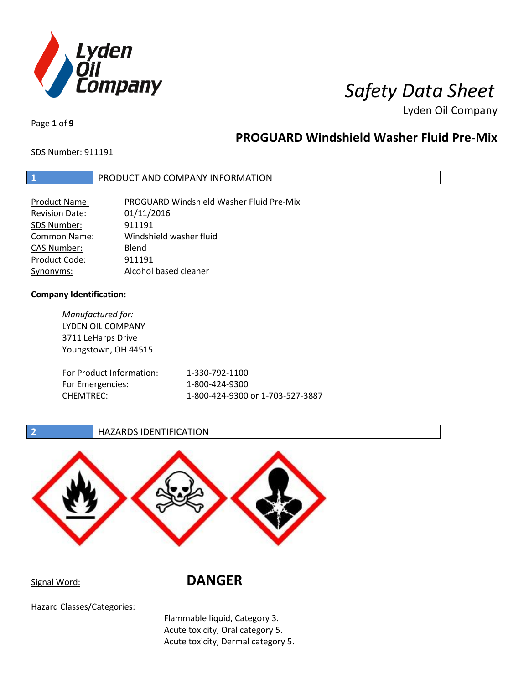

# *<i>I*<br> *Safety Data Sheet*

Lyden Oil Company

Page **1** of **9**

## **PROGUARD Windshield Washer Fluid Pre-Mix**

SDS Number: 911191

### **1** PRODUCT AND COMPANY INFORMATION

| Product Name:         | PROGUARD Windshield Washer Fluid Pre-Mix |
|-----------------------|------------------------------------------|
| <b>Revision Date:</b> | 01/11/2016                               |
| SDS Number:           | 911191                                   |
| <b>Common Name:</b>   | Windshield washer fluid                  |
| CAS Number:           | Blend                                    |
| Product Code:         | 911191                                   |
| Synonyms:             | Alcohol based cleaner                    |

### **Company Identification:**

*Manufactured for:* LYDEN OIL COMPANY 3711 LeHarps Drive Youngstown, OH 44515 For Product

| For Product Information: | 1-330-792-1100                   |
|--------------------------|----------------------------------|
| For Emergencies:         | 1-800-424-9300                   |
| CHEMTREC:                | 1-800-424-9300 or 1-703-527-3887 |

### **2 HAZARDS IDENTIFICATION**



# Signal Word: **DANGER**

Hazard Classes/Categories:

Flammable liquid, Category 3. Acute toxicity, Oral category 5. Acute toxicity, Dermal category 5.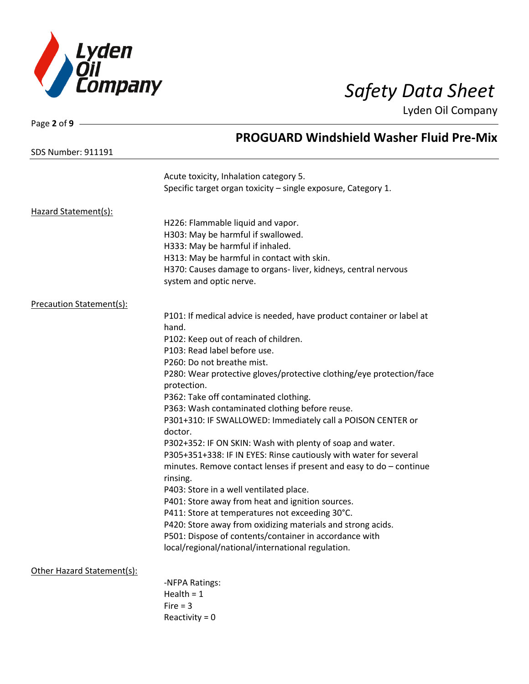

| Page 2 of 9                |                                                                       |
|----------------------------|-----------------------------------------------------------------------|
|                            | <b>PROGUARD Windshield Washer Fluid Pre-Mix</b>                       |
| <b>SDS Number: 911191</b>  |                                                                       |
|                            | Acute toxicity, Inhalation category 5.                                |
|                            | Specific target organ toxicity - single exposure, Category 1.         |
| Hazard Statement(s):       |                                                                       |
|                            | H226: Flammable liquid and vapor.                                     |
|                            | H303: May be harmful if swallowed.                                    |
|                            | H333: May be harmful if inhaled.                                      |
|                            | H313: May be harmful in contact with skin.                            |
|                            | H370: Causes damage to organs-liver, kidneys, central nervous         |
|                            | system and optic nerve.                                               |
| Precaution Statement(s):   |                                                                       |
|                            | P101: If medical advice is needed, have product container or label at |
|                            | hand.                                                                 |
|                            | P102: Keep out of reach of children.                                  |
|                            | P103: Read label before use.                                          |
|                            | P260: Do not breathe mist.                                            |
|                            | P280: Wear protective gloves/protective clothing/eye protection/face  |
|                            | protection.                                                           |
|                            | P362: Take off contaminated clothing.                                 |
|                            | P363: Wash contaminated clothing before reuse.                        |
|                            | P301+310: IF SWALLOWED: Immediately call a POISON CENTER or           |
|                            | doctor.                                                               |
|                            | P302+352: IF ON SKIN: Wash with plenty of soap and water.             |
|                            | P305+351+338: IF IN EYES: Rinse cautiously with water for several     |
|                            | minutes. Remove contact lenses if present and easy to $do$ – continue |
|                            | rinsing.                                                              |
|                            | P403: Store in a well ventilated place.                               |
|                            | P401: Store away from heat and ignition sources.                      |
|                            | P411: Store at temperatures not exceeding 30°C.                       |
|                            | P420: Store away from oxidizing materials and strong acids.           |
|                            | P501: Dispose of contents/container in accordance with                |
|                            | local/regional/national/international regulation.                     |
| Other Hazard Statement(s): |                                                                       |
|                            | -NFPA Ratings:                                                        |
|                            | Health $= 1$                                                          |
|                            | Fire $=$ 3                                                            |
|                            | Reactivity = $0$                                                      |
|                            |                                                                       |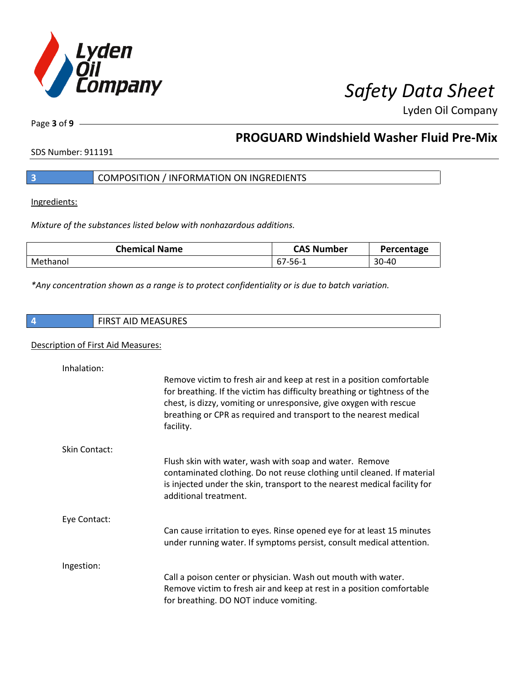

Page **3** of **9**

# **PROGUARD Windshield Washer Fluid Pre-Mix**

SDS Number: 911191

|  |  | COMPOSITION / INFORMATION ON INGREDIENTS |
|--|--|------------------------------------------|
|--|--|------------------------------------------|

Ingredients:

*Mixture of the substances listed below with nonhazardous additions.*

| <b>Chemical Name</b> | <b>CAS Number</b> | Percentage |
|----------------------|-------------------|------------|
| Methanol             | -67-56 b          | 30-40      |

*\*Any concentration shown as a range is to protect confidentiality or is due to batch variation.*

|  | <b>FIRST AID MEASURES</b> |
|--|---------------------------|
|--|---------------------------|

### Description of First Aid Measures:

| Inhalation:          | Remove victim to fresh air and keep at rest in a position comfortable<br>for breathing. If the victim has difficulty breathing or tightness of the<br>chest, is dizzy, vomiting or unresponsive, give oxygen with rescue<br>breathing or CPR as required and transport to the nearest medical<br>facility. |
|----------------------|------------------------------------------------------------------------------------------------------------------------------------------------------------------------------------------------------------------------------------------------------------------------------------------------------------|
| <b>Skin Contact:</b> | Flush skin with water, wash with soap and water. Remove<br>contaminated clothing. Do not reuse clothing until cleaned. If material<br>is injected under the skin, transport to the nearest medical facility for<br>additional treatment.                                                                   |
| Eye Contact:         | Can cause irritation to eyes. Rinse opened eye for at least 15 minutes<br>under running water. If symptoms persist, consult medical attention.                                                                                                                                                             |
| Ingestion:           | Call a poison center or physician. Wash out mouth with water.<br>Remove victim to fresh air and keep at rest in a position comfortable<br>for breathing. DO NOT induce vomiting.                                                                                                                           |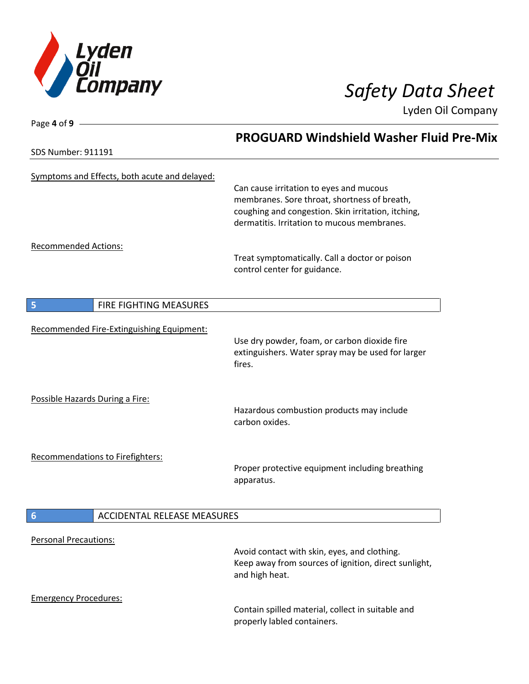

Page **4** of **9**

Lyden Oil Company

|                                               | <b>PROGUARD Windshield Washer Fluid Pre-Mix</b>                                                                        |
|-----------------------------------------------|------------------------------------------------------------------------------------------------------------------------|
| <b>SDS Number: 911191</b>                     |                                                                                                                        |
| Symptoms and Effects, both acute and delayed: | Can cause irritation to eyes and mucous<br>membranes. Sore throat, shortness of breath,                                |
|                                               | coughing and congestion. Skin irritation, itching,<br>dermatitis. Irritation to mucous membranes.                      |
| <b>Recommended Actions:</b>                   | Treat symptomatically. Call a doctor or poison<br>control center for guidance.                                         |
| FIRE FIGHTING MEASURES<br>5                   |                                                                                                                        |
| Recommended Fire-Extinguishing Equipment:     |                                                                                                                        |
|                                               | Use dry powder, foam, or carbon dioxide fire<br>extinguishers. Water spray may be used for larger<br>fires.            |
| Possible Hazards During a Fire:               | Hazardous combustion products may include<br>carbon oxides.                                                            |
|                                               |                                                                                                                        |
| Recommendations to Firefighters:              | Proper protective equipment including breathing<br>apparatus.                                                          |
| ACCIDENTAL RELEASE MEASURES<br>6              |                                                                                                                        |
| <b>Personal Precautions:</b>                  |                                                                                                                        |
|                                               | Avoid contact with skin, eyes, and clothing.<br>Keep away from sources of ignition, direct sunlight,<br>and high heat. |
| <b>Emergency Procedures:</b>                  |                                                                                                                        |
|                                               | Contain spilled material, collect in suitable and<br>properly labled containers.                                       |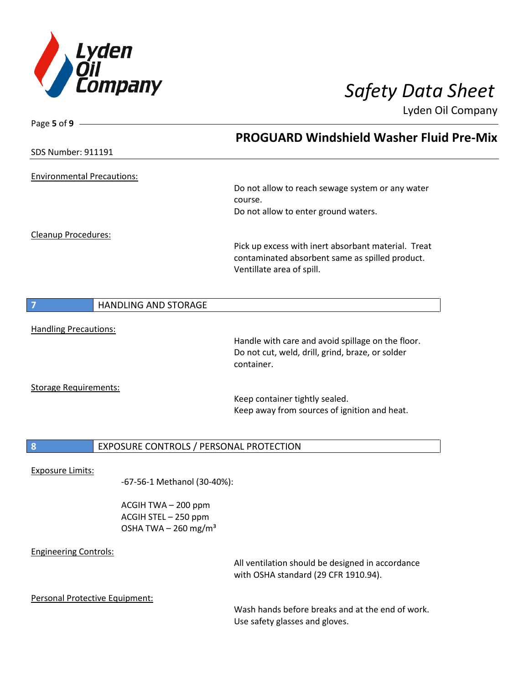

| Page 5 of 9 $-$                   |                                                                                   |                                                                                                                                     |  |
|-----------------------------------|-----------------------------------------------------------------------------------|-------------------------------------------------------------------------------------------------------------------------------------|--|
|                                   |                                                                                   | <b>PROGUARD Windshield Washer Fluid Pre-Mix</b>                                                                                     |  |
| <b>SDS Number: 911191</b>         |                                                                                   |                                                                                                                                     |  |
| <b>Environmental Precautions:</b> |                                                                                   |                                                                                                                                     |  |
|                                   |                                                                                   | Do not allow to reach sewage system or any water<br>course.                                                                         |  |
|                                   |                                                                                   | Do not allow to enter ground waters.                                                                                                |  |
| Cleanup Procedures:               |                                                                                   |                                                                                                                                     |  |
|                                   |                                                                                   | Pick up excess with inert absorbant material. Treat<br>contaminated absorbent same as spilled product.<br>Ventillate area of spill. |  |
| 7                                 | <b>HANDLING AND STORAGE</b>                                                       |                                                                                                                                     |  |
|                                   |                                                                                   |                                                                                                                                     |  |
| <b>Handling Precautions:</b>      |                                                                                   | Handle with care and avoid spillage on the floor.                                                                                   |  |
|                                   |                                                                                   | Do not cut, weld, drill, grind, braze, or solder<br>container.                                                                      |  |
| <b>Storage Requirements:</b>      |                                                                                   |                                                                                                                                     |  |
|                                   |                                                                                   | Keep container tightly sealed.<br>Keep away from sources of ignition and heat.                                                      |  |
|                                   |                                                                                   |                                                                                                                                     |  |
| 8                                 | EXPOSURE CONTROLS / PERSONAL PROTECTION                                           |                                                                                                                                     |  |
| <b>Exposure Limits:</b>           |                                                                                   |                                                                                                                                     |  |
|                                   | -67-56-1 Methanol (30-40%):                                                       |                                                                                                                                     |  |
|                                   | ACGIH TWA - 200 ppm<br>ACGIH STEL - 250 ppm<br>OSHA TWA $-$ 260 mg/m <sup>3</sup> |                                                                                                                                     |  |
| <b>Engineering Controls:</b>      |                                                                                   |                                                                                                                                     |  |
|                                   |                                                                                   | All ventilation should be designed in accordance<br>with OSHA standard (29 CFR 1910.94).                                            |  |
| Personal Protective Equipment:    |                                                                                   |                                                                                                                                     |  |
|                                   |                                                                                   | Wash hands before breaks and at the end of work.<br>Use safety glasses and gloves.                                                  |  |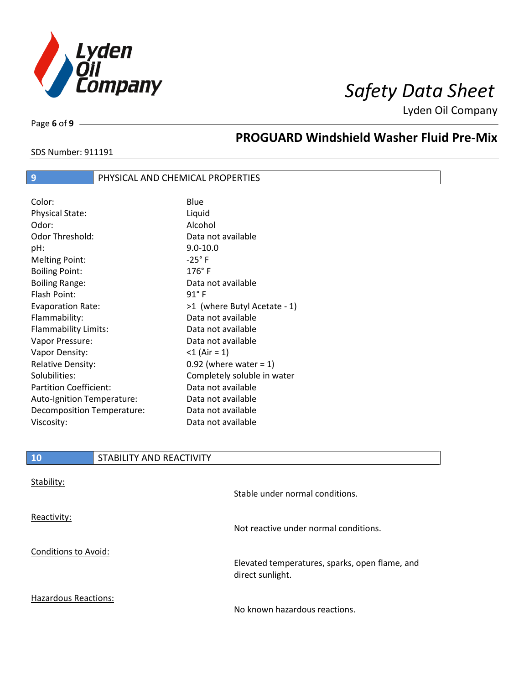

SDS Number: 911191

Page **6** of **9**

# **PROGUARD Windshield Washer Fluid Pre-Mix**

### **9 PHYSICAL AND CHEMICAL PROPERTIES**

| Color:                        | Blue                         |
|-------------------------------|------------------------------|
| <b>Physical State:</b>        | Liquid                       |
| Odor:                         | Alcohol                      |
| <b>Odor Threshold:</b>        | Data not available           |
| pH:                           | $9.0 - 10.0$                 |
| <b>Melting Point:</b>         | $-25^\circ$ F                |
| <b>Boiling Point:</b>         | $176^\circ$ F                |
| <b>Boiling Range:</b>         | Data not available           |
| <b>Flash Point:</b>           | $91^{\circ}$ F               |
| <b>Evaporation Rate:</b>      | >1 (where Butyl Acetate - 1) |
| Flammability:                 | Data not available           |
| Flammability Limits:          | Data not available           |
| Vapor Pressure:               | Data not available           |
| Vapor Density:                | $<$ 1 (Air = 1)              |
| <b>Relative Density:</b>      | $0.92$ (where water = 1)     |
| Solubilities:                 | Completely soluble in water  |
| <b>Partition Coefficient:</b> | Data not available           |
| Auto-Ignition Temperature:    | Data not available           |
| Decomposition Temperature:    | Data not available           |
| Viscosity:                    | Data not available           |

| STABILITY AND REACTIVITY                                           |
|--------------------------------------------------------------------|
|                                                                    |
| Stable under normal conditions.                                    |
|                                                                    |
| Not reactive under normal conditions.                              |
|                                                                    |
| Elevated temperatures, sparks, open flame, and<br>direct sunlight. |
|                                                                    |

Hazardous Reactions:

No known hazardous reactions.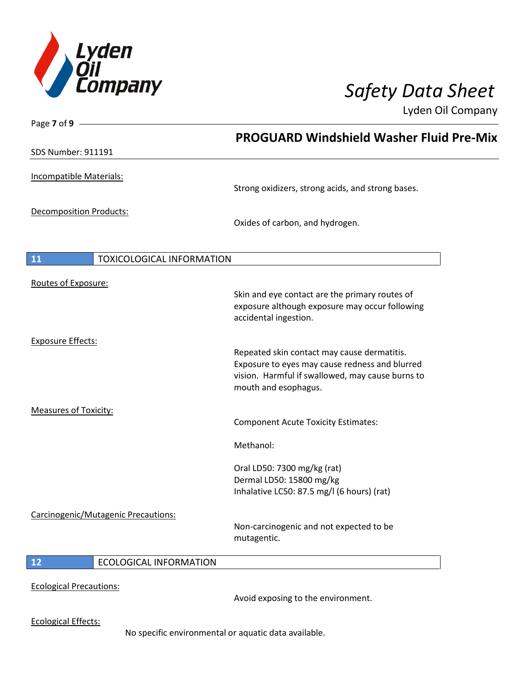

| Page 7 of 9 -                          |                                                                                                  |
|----------------------------------------|--------------------------------------------------------------------------------------------------|
|                                        | <b>PROGUARD Windshield Washer Fluid Pre-Mix</b>                                                  |
| <b>SDS Number: 911191</b>              |                                                                                                  |
| Incompatible Materials:                |                                                                                                  |
|                                        | Strong oxidizers, strong acids, and strong bases.                                                |
| <b>Decomposition Products:</b>         |                                                                                                  |
|                                        | Oxides of carbon, and hydrogen.                                                                  |
|                                        |                                                                                                  |
| 11<br><b>TOXICOLOGICAL INFORMATION</b> |                                                                                                  |
| Routes of Exposure:                    |                                                                                                  |
|                                        | Skin and eye contact are the primary routes of<br>exposure although exposure may occur following |
|                                        | accidental ingestion.                                                                            |
| <b>Exposure Effects:</b>               |                                                                                                  |
|                                        | Repeated skin contact may cause dermatitis.<br>Exposure to eyes may cause redness and blurred    |
|                                        | vision. Harmful if swallowed, may cause burns to<br>mouth and esophagus.                         |
|                                        |                                                                                                  |
| <b>Measures of Toxicity:</b>           | <b>Component Acute Toxicity Estimates:</b>                                                       |
|                                        |                                                                                                  |
|                                        | Methanol:                                                                                        |
|                                        | Oral LD50: 7300 mg/kg (rat)                                                                      |
|                                        | Dermal LD50: 15800 mg/kg<br>Inhalative LC50: 87.5 mg/l (6 hours) (rat)                           |
|                                        |                                                                                                  |
| Carcinogenic/Mutagenic Precautions:    | Non-carcinogenic and not expected to be                                                          |
|                                        | mutagentic.                                                                                      |
| <b>ECOLOGICAL INFORMATION</b><br>12    |                                                                                                  |
| <b>Ecological Precautions:</b>         |                                                                                                  |
|                                        | Avoid exposing to the environment.                                                               |
| <b>Ecological Effects:</b>             |                                                                                                  |
|                                        |                                                                                                  |

No specific environmental or aquatic data available.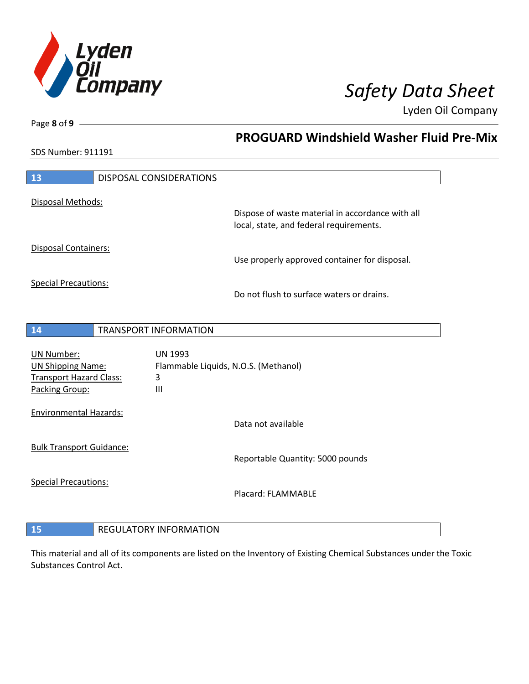

**PROGUARD Windshield Washer Fluid Pre-Mix**

Lyden Oil Company

SDS Number: 911191

Page **8** of **9**

 $\overline{\phantom{a}}$ 

| 13                                                                                                | DISPOSAL CONSIDERATIONS                                                       |                                                                                             |
|---------------------------------------------------------------------------------------------------|-------------------------------------------------------------------------------|---------------------------------------------------------------------------------------------|
| Disposal Methods:                                                                                 |                                                                               | Dispose of waste material in accordance with all<br>local, state, and federal requirements. |
| Disposal Containers:                                                                              |                                                                               | Use properly approved container for disposal.                                               |
| <b>Special Precautions:</b>                                                                       |                                                                               | Do not flush to surface waters or drains.                                                   |
| 14                                                                                                | <b>TRANSPORT INFORMATION</b>                                                  |                                                                                             |
| <b>UN Number:</b><br><b>UN Shipping Name:</b><br><b>Transport Hazard Class:</b><br>Packing Group: | <b>UN 1993</b><br>Flammable Liquids, N.O.S. (Methanol)<br>3<br>$\mathbf{III}$ |                                                                                             |
| <b>Environmental Hazards:</b>                                                                     |                                                                               | Data not available                                                                          |
| <b>Bulk Transport Guidance:</b>                                                                   |                                                                               | Reportable Quantity: 5000 pounds                                                            |
| <b>Special Precautions:</b>                                                                       |                                                                               | Placard: FLAMMABLE                                                                          |
| 15                                                                                                | <b>REGULATORY INFORMATION</b>                                                 |                                                                                             |

This material and all of its components are listed on the Inventory of Existing Chemical Substances under the Toxic Substances Control Act.